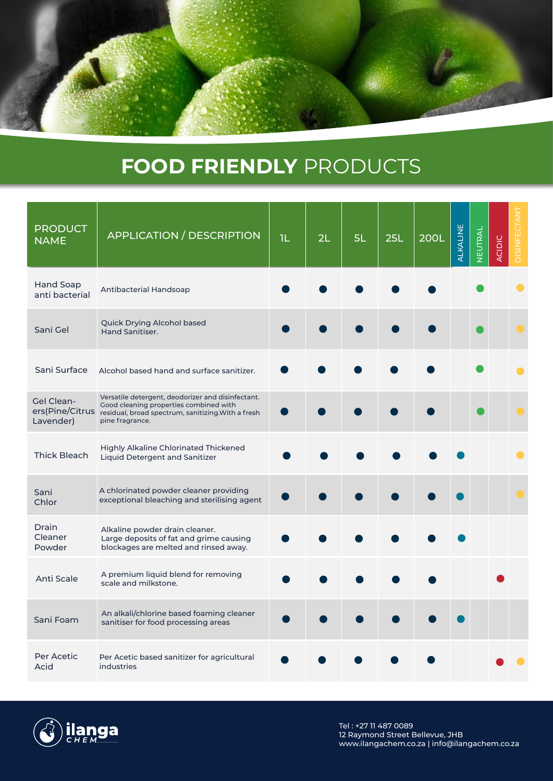## **FOOD FRIENDLY** PRODUCTS

| <b>PRODUCT</b><br><b>NAME</b>              | <b>APPLICATION / DESCRIPTION</b>                                                                                                                                     | 1L | 2L | 5L | 25L | <b>200L</b> | ALKALINE | NEUTRAL | ACIDIC | DISINFECTAN |
|--------------------------------------------|----------------------------------------------------------------------------------------------------------------------------------------------------------------------|----|----|----|-----|-------------|----------|---------|--------|-------------|
| <b>Hand Soap</b><br>anti bacterial         | Antibacterial Handsoap                                                                                                                                               |    |    |    |     |             |          |         |        |             |
| Sani Gel                                   | Quick Drying Alcohol based<br>Hand Sanitiser.                                                                                                                        |    |    |    |     |             |          |         |        |             |
| Sani Surface                               | Alcohol based hand and surface sanitizer.                                                                                                                            |    |    |    |     |             |          |         |        |             |
| Gel Clean-<br>ers(Pine/Citrus<br>Lavender) | Versatile detergent, deodorizer and disinfectant.<br>Good cleaning properties combined with<br>residual, broad spectrum, sanitizing. With a fresh<br>pine fragrance. |    |    |    |     |             |          |         |        |             |
| <b>Thick Bleach</b>                        | <b>Highly Alkaline Chlorinated Thickened</b><br><b>Liquid Detergent and Sanitizer</b>                                                                                |    |    |    |     |             |          |         |        |             |
| Sani<br>Chlor                              | A chlorinated powder cleaner providing<br>exceptional bleaching and sterilising agent                                                                                |    |    |    |     |             |          |         |        |             |
| Drain<br>Cleaner<br>Powder                 | Alkaline powder drain cleaner.<br>Large deposits of fat and grime causing<br>blockages are melted and rinsed away.                                                   |    |    |    |     |             |          |         |        |             |
| <b>Anti Scale</b>                          | A premium liquid blend for removing<br>scale and milkstone.                                                                                                          |    |    |    |     |             |          |         |        |             |
| Sani Foam                                  | An alkali/chlorine based foaming cleaner<br>sanitiser for food processing areas                                                                                      |    |    |    |     |             |          |         |        |             |
| Per Acetic<br>Acid                         | Per Acetic based sanitizer for agricultural<br>industries                                                                                                            |    |    |    |     |             |          |         |        |             |



Tel : +27 11 487 0089 12 Raymond Street Bellevue, JHB www.ilangachem.co.za | info@ilangachem.co.za